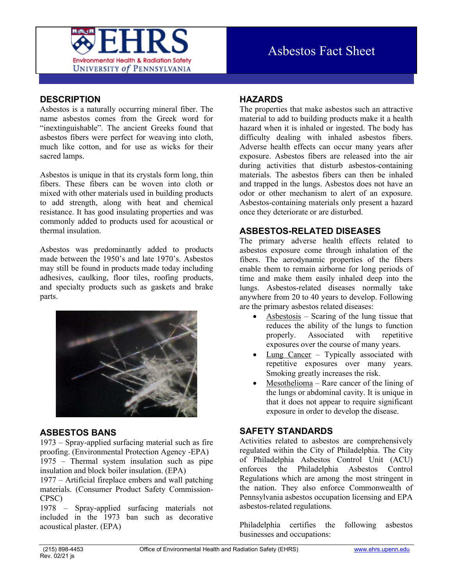

# **DESCRIPTION**

Asbestos is a naturally occurring mineral fiber. The name asbestos comes from the Greek word for "inextinguishable". The ancient Greeks found that asbestos fibers were perfect for weaving into cloth, much like cotton, and for use as wicks for their sacred lamps.

Asbestos is unique in that its crystals form long, thin fibers. These fibers can be woven into cloth or mixed with other materials used in building products to add strength, along with heat and chemical resistance. It has good insulating properties and was commonly added to products used for acoustical or thermal insulation.

Asbestos was predominantly added to products made between the 1950's and late 1970's. Asbestos may still be found in products made today including adhesives, caulking, floor tiles, roofing products, and specialty products such as gaskets and brake parts.



### **ASBESTOS BANS**

1973 – Spray-applied surfacing material such as fire proofing. (Environmental Protection Agency -EPA) 1975 – Thermal system insulation such as pipe insulation and block boiler insulation. (EPA)

1977 – Artificial fireplace embers and wall patching materials. (Consumer Product Safety Commission-CPSC)

1978 – Spray-applied surfacing materials not included in the 1973 ban such as decorative acoustical plaster. (EPA)

## **HAZARDS**

The properties that make asbestos such an attractive material to add to building products make it a health hazard when it is inhaled or ingested. The body has difficulty dealing with inhaled asbestos fibers. Adverse health effects can occur many years after exposure. Asbestos fibers are released into the air during activities that disturb asbestos-containing materials. The asbestos fibers can then be inhaled and trapped in the lungs. Asbestos does not have an odor or other mechanism to alert of an exposure. Asbestos-containing materials only present a hazard once they deteriorate or are disturbed.

### **ASBESTOS-RELATED DISEASES**

The primary adverse health effects related to asbestos exposure come through inhalation of the fibers. The aerodynamic properties of the fibers enable them to remain airborne for long periods of time and make them easily inhaled deep into the lungs. Asbestos-related diseases normally take anywhere from 20 to 40 years to develop. Following are the primary asbestos related diseases:

- $\Delta$ sbestosis Scaring of the lung tissue that reduces the ability of the lungs to function properly. Associated with repetitive exposures over the course of many years.
- Lung Cancer Typically associated with repetitive exposures over many years. Smoking greatly increases the risk.
- Mesothelioma Rare cancer of the lining of the lungs or abdominal cavity. It is unique in that it does not appear to require significant exposure in order to develop the disease.

### **SAFETY STANDARDS**

Activities related to asbestos are comprehensively regulated within the City of Philadelphia. The City of Philadelphia Asbestos Control Unit (ACU) enforces the Philadelphia Asbestos Control Regulations which are among the most stringent in the nation. They also enforce Commonwealth of Pennsylvania asbestos occupation licensing and EPA asbestos-related regulations.

Philadelphia certifies the following asbestos businesses and occupations: